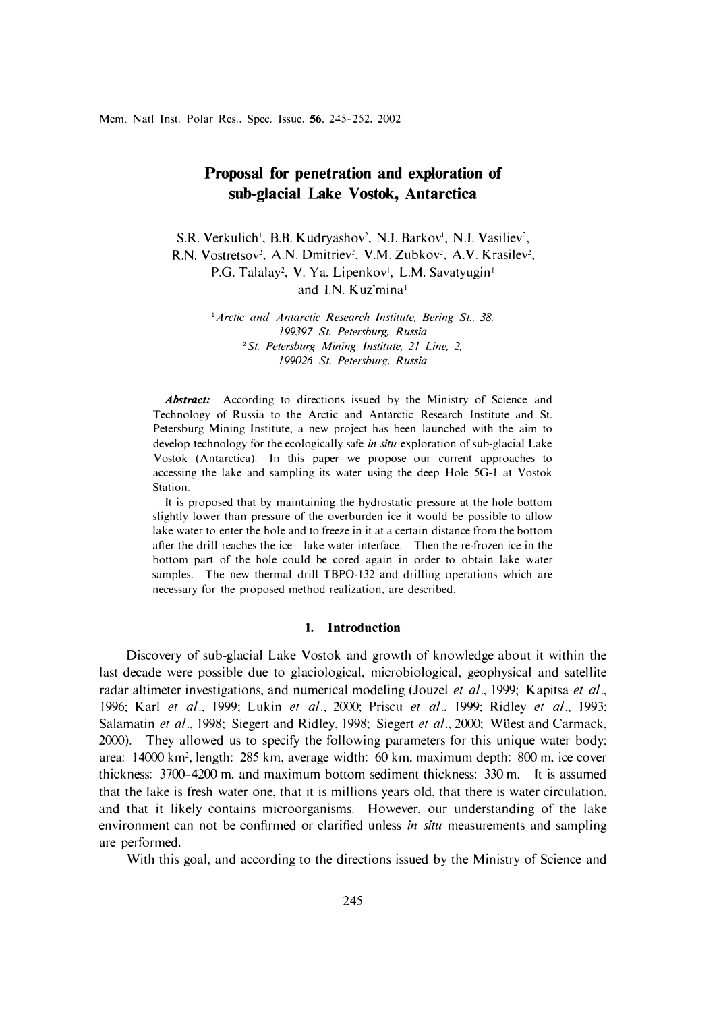# **Proposal for penetration and exploration of sub-glacial Lake Vostok, Antarctica**

S.R. Verkulich<sup>1</sup>, B.B. Kudryashov<sup>2</sup>, N.I. Barkov<sup>1</sup>, N.I. Vasiliev<sup>2</sup>, R.N. Vostretsov<sup>2</sup>, A.N. Dmitriev<sup>2</sup>, V.M. Zubkov<sup>2</sup>, A.V. Krasilev<sup>2</sup>, P.G. Talalay<sup>2</sup>, V. Ya. Lipenkov<sup>i</sup>, L.M. Savatyugin<sup>i</sup> and I.N. Kuz'mina<sup>1</sup>

> <sup>1</sup> Arctic and Antarctic Research Institute, Bering St., 38, *199397 St. Petersburg, Russia <sup>2</sup>St. Petersburg Mining Institute, 21 Line, 2. 199026 St. Petersburg, Russia*

*Abstract:* According to directions issued by the Ministry of Science and Technology of Russia to the Arctic and Antarctic Research Institute and St. Petersburg Mining Institute, a new project has been launched with the aim to develop technology for the ecologically safe *in situ* exploration of sub-glacial Lake Yostok (Antarctica). In this paper we propose our current approaches to accessing the lake and sampling its water using the deep Hole 5G-1 at Vostok Station.

It is proposed that by maintaining the hydrostatic pressure at the hole bottom slightly lower than pressure of the overburden ice it would be possible to allow lake water to enter the hole and to freeze in it at a certain distance from the bottom after the drill reaches the ice-lake water interface. Then the re-frozen ice in the bottom part of the hole could be cored again in order to obtain lake water samples. The new thermal drill TBPO-132 and drilling operations which are necessary for the proposed method realization, are described.

## **1. Introduction**

Discovery of sub-glacial Lake Vostok and growth of knowledge about it within the last decade were possible due to glaciological, microbiological, geophysical and satellite radar altimeter investigations, and numerical modeling (Jouzel *et al.,* 1999; Kapitsa *et al.,*  1996; Karl *et al.,* 1999; Lukin *et al.,* 2000; Priscu *et al.,* 1999; Ridley *et al.,* 1993; Salamatin *et al.*, 1998; Siegert and Ridley, 1998; Siegert *et al.*, 2000; Wüest and Carmack, 2000). They allowed us to specify the following parameters for this unique water body; area: 14000 km<sup>2</sup> , length: 285 km, average width: 60 km, maximum depth: 800 m, ice cover thickness: 3700-4200 m, and maximum bottom sediment thickness: 330 m. It is assumed that the lake is fresh water one, that it is millions years old, that there is water circulation, and that it likely contains microorganisms. However, our understanding of the lake environment can not be confirmed or clarified unless *in situ* measurements and sampling are performed.

With this goal, and according to the directions issued by the Ministry of Science and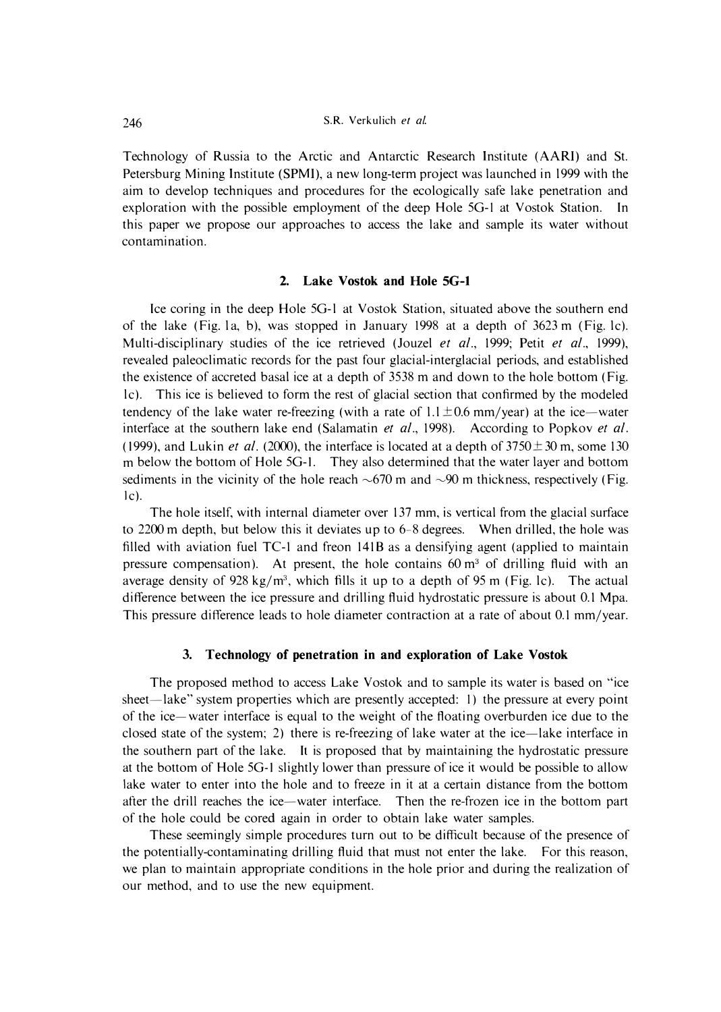Technology of Russia to the Arctic and Antarctic Research Institute **(AARl)** and St. Petersburg Mining Institute **(SPMl),** a new long-term project was launched in l 999 with the aim to develop techniques and procedures for the ecologically safe lake penetration and exploration with the possible employment of the deep Hole 5G-I at Yostok Station. In this paper we propose our approaches to access the lake and sample its water without contamination.

#### **2. Lake Vostok and Hole SG-1**

Ice coring in the deep Hole 5G-l at Y ostok Station, situated above the southern end of the lake (Fig. la, b), was stopped in January 1998 at a depth of 3623 m (Fig. le). Multi-disciplinary studies of the ice retrieved (Jouzel *et al.,* 1999; Petit *et al.,* 1999), revealed paleoclimatic records for the past four glacial-interglacial periods, and established the existence of accreted basal ice at a depth of 3538 m and down to the hole bottom (Fig. le). This ice is believed to form the rest of glacial section that confirmed by the modeled tendency of the lake water re-freezing (with a rate of  $1.1 \pm 0.6$  mm/year) at the ice—water interface at the southern lake end (Salamatin *et al.,* 1998). According to Popkov *et al.*  (1999), and Lukin *et al.* (2000), the interface is located at a depth of  $3750 \pm 30$  m, some 130 m below the bottom of Hole 5G-I. They also determined that the water layer and bottom sediments in the vicinity of the hole reach  $\sim 670$  m and  $\sim 90$  m thickness, respectively (Fig.  $|c|$ .

The hole itself, with internal diameter over 137 mm, is vertical from the glacial surface to 2200 m depth, but below this it deviates up to 6-8 degrees. When drilled, the hole was filled with aviation fuel  $TC$ -1 and freon  $141B$  as a densifying agent (applied to maintain pressure compensation). At present, the hole contains  $60 \text{ m}^3$  of drilling fluid with an average density of 928 kg/m<sup>3</sup>, which fills it up to a depth of 95 m (Fig. 1c). The actual difference between the ice pressure and drilling fluid hydrostatic pressure is about 0.1 Mpa. This pressure difference leads to hole diameter contraction at a rate of about 0.1 mm/year.

## **3. Technology of penetration in and exploration of Lake Vostok**

The proposed method to access Lake Vostok and to sample its water is based on "ice sheet—lake" system properties which are presently accepted: 1) the pressure at every point of the ice-water interface is equal to the weight of the floating overburden ice due to the closed state of the system; 2) there is re-freezing of lake water at the ice-lake interface in the southern part of the lake. It is proposed that by maintaining the hydrostatic pressure at the bottom of Hole 5G-I slightly lower than pressure of ice it would be possible to allow lake water to enter into the hole and to freeze in it at a certain distance from the bottom after the drill reaches the ice-water interface. Then the re-frozen ice in the bottom part of the hole could be cored again in order to obtain lake water samples.

These seemingly simple procedures turn out to be difficult because of the presence of the potentially-contaminating drilling fluid that must not enter the lake. For this reason, we plan to maintain appropriate conditions in the hole prior and during the realization of our method, and to use the new equipment.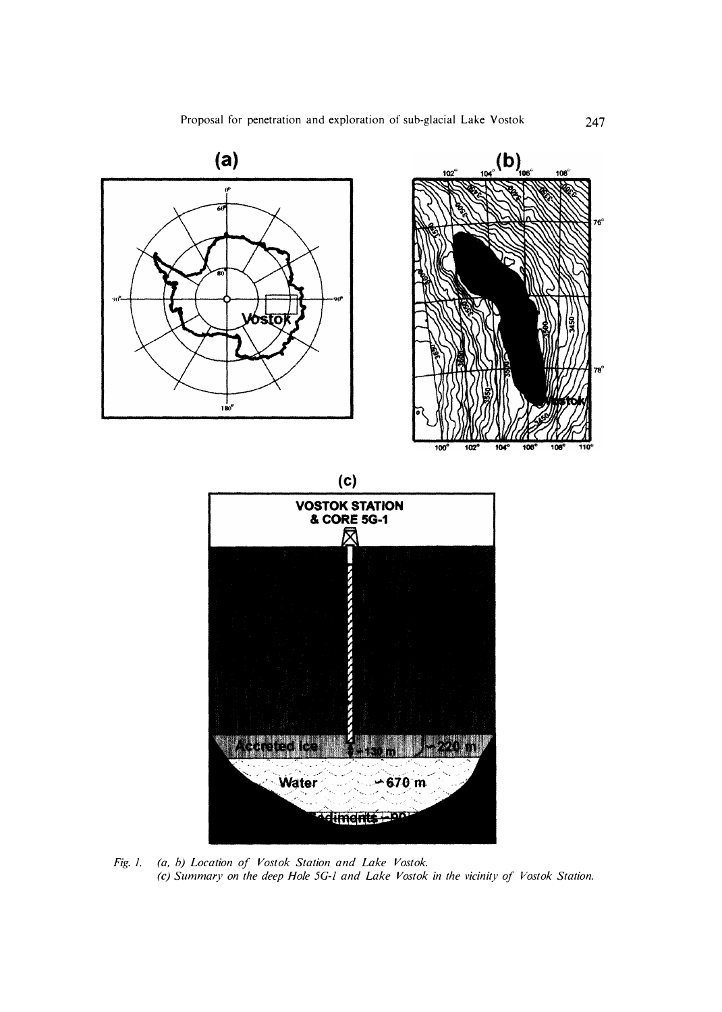

*Fig. 1. (a, b) Location of Vostok Station and Lake Vostok. (c) Summary on the deep Hole 5G-l and Lake Vostok in the vicinity of Vostok Station.*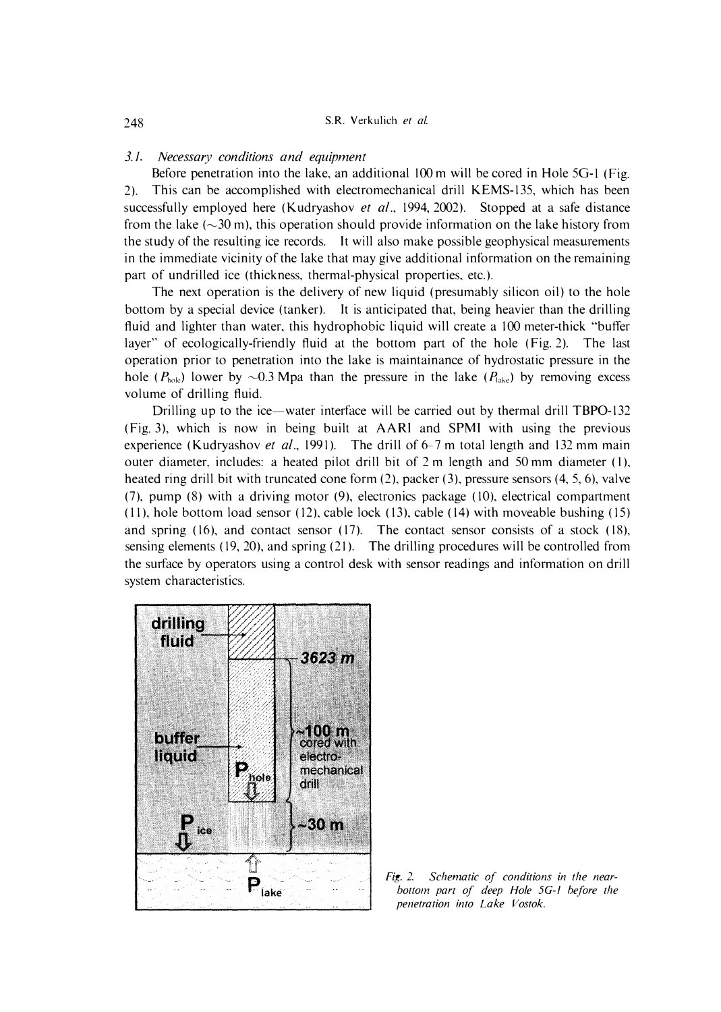#### *3. I. Necessary conditions and equipment*

Before penetration into the lake, an additional 100 m will be cored in Hole 5G-1 (Fig. **2). This can be accomplished with electromechanical drill KEMS-135, which has been successfully employed here (Kudryashov** *et al.,* **1994, 2002). Stopped at a safe distance**  from the lake  $(\sim 30 \text{ m})$ , this operation should provide information on the lake history from **the study of the resulting ice records. It will also make possible geophysical measurements in the immediate vicinity of the lake that may give additional information on the remaining part of undrilled ice (thickness, thermal-physical properties, etc.).** 

**The next operation is the delivery of new liquid (presumably silicon oil) to the hole bottom by a special device (tanker). It is anticipated that, being heavier than the drilling fluid and lighter than water, this hydrophobic liquid will create a 100 meter-thick "buffer**  layer" of ecologically-friendly fluid at the bottom part of the hole (Fig. 2). The last **operation prior to penetration into the lake is maintainance of hydrostatic pressure in the**  hole ( $P_{\text{hole}}$ ) lower by  $\sim 0.3$  Mpa than the pressure in the lake ( $P_{\text{late}}$ ) by removing excess **volume of drilling fluid.** 

**Drilling up to the ice-water interface will be carried out by thermal drill TBP0-132 (Fig. 3), which is now in being built at AARI and SPMI with using the previous experience ( Kudryashov** *et al.,* **1991 ). The drill of 6-7 m total length and 132 mm main outer diameter, includes: a heated pilot drill bit of 2 m length and 50 mm diameter (I), heated ring drill bit with truncated cone form (2), packer (3), pressure sensors (4, 5, 6), valve (7), pump (8) with a driving motor (9), electronics package ( 10), electrical compartment (11), hole bottom load sensor (12), cable lock (13), cable (14) with moveable bushing (15)**  and spring (16), and contact sensor (17). The contact sensor consists of a stock (18), **sensing elements ( 19, 20), and spring (21 ). The drilling procedures will be controlled from the surface by operators using a control desk with sensor readings and information on drill system characteristics.** 



*Fig. 2. Schematic of conditions in the nearbottom part of deep Hole 5G-l before the penetration into Lake Vostok.*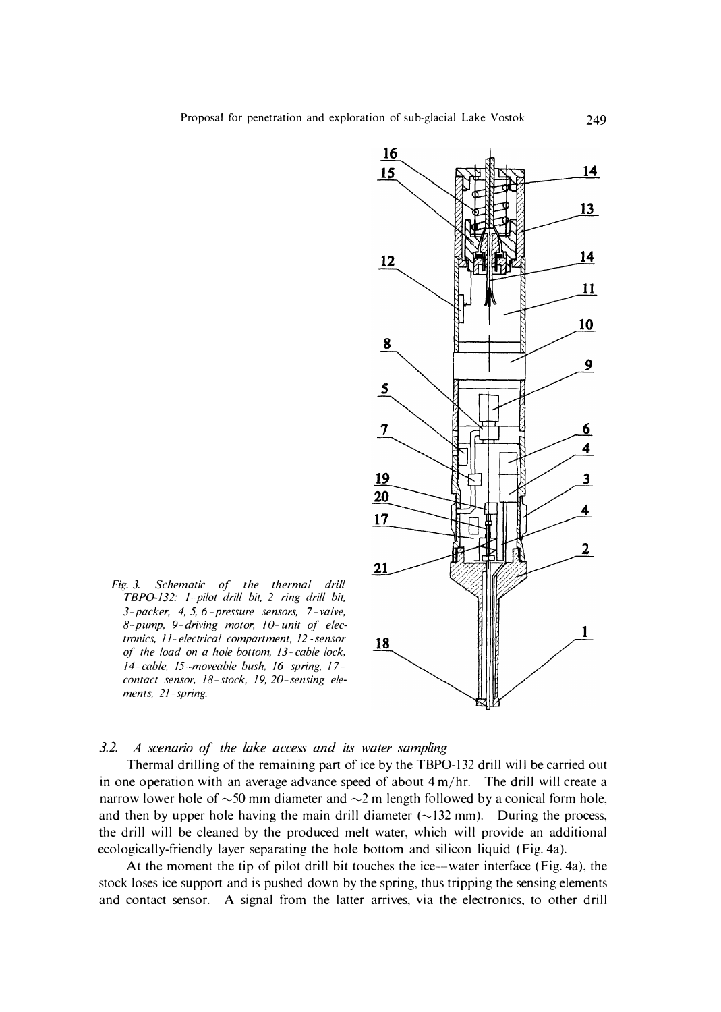

*Fig. 3. Schematic of the thermal drill TBP0-132: /--pilot drill bit, 2-ring drill bit, 3-packer, 4, 5, 6 -pressure sensors, 7 -valve, 8-pump, 9-driving motor, JO-unit of electronics, / I-electrical compartment, 12-sensor of the load on a hole bottom, 13 -cable lock, 14-cable, 15- moveable bush. 16 -spring, 17 contact sensor, 18-stock, 19, 20-sensing elements, 21-spring.* 

# *3.2. A scenario of the lake access and its water sampling*

Thermal drilling of the remaining part of ice by the TBP0-132 drill wil I be carried out in one operation with an average advance speed of about 4 m/hr. The drill will create a narrow lower hole of  $\sim$  50 mm diameter and  $\sim$  2 m length followed by a conical form hole, and then by upper hole having the main drill diameter  $(\sim 132 \text{ mm})$ . During the process, the drill will be cleaned by the produced melt water, which will provide an additional ecologically-friendly layer separating the hole bottom and silicon liquid (Fig. 4a).

At the moment the tip of pilot drill bit touches the ice--water interface (Fig. 4a), the stock loses ice support and is pushed down by the spring, thus tripping the sensing elements and contact sensor. A signal from the latter arrives, via the electronics, to other drill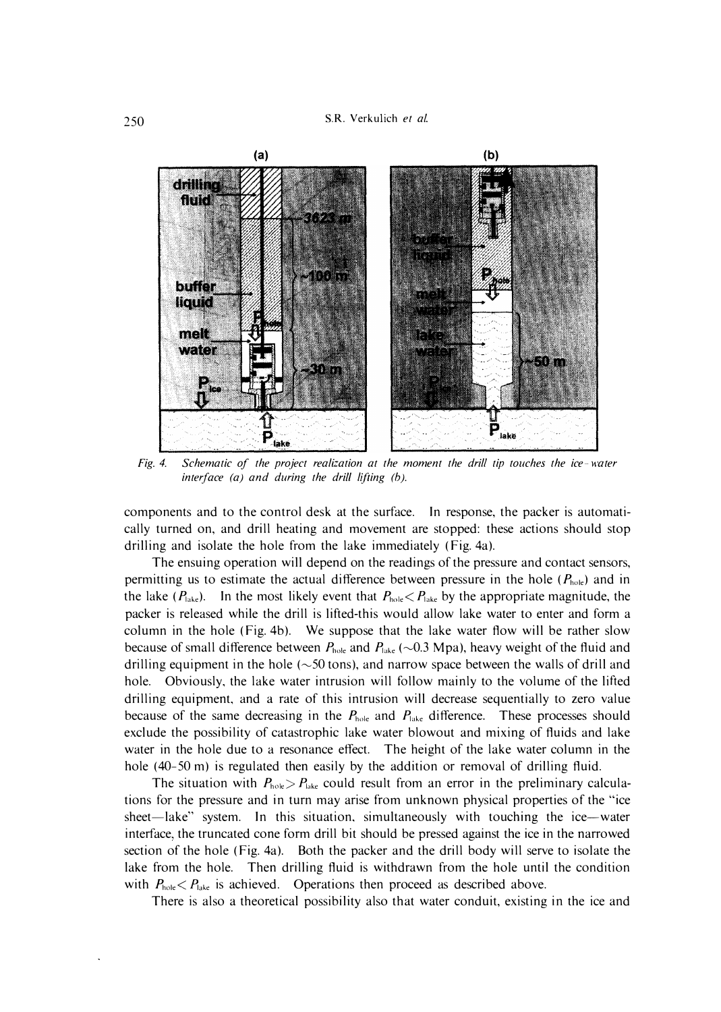

*Fig. 4. Schematic of the project realization at the moment the drill tip touches the ice- water interface (a) and during the drill lifting (b).* 

**components and to the control desk at the surface. In response, the packer is automati**cally turned on, and drill heating and movement are stopped: these actions should stop **drilling and isolate the hole from the lake immediately (Fig. 4a).** 

**The ensuing operation will depend on the readings of the pressure and contact sensors, permitting us to estimate the actual difference between pressure in the hole**  $(P_{\text{hole}})$  **and in** the lake  $(P_{\text{late}})$ . In the most likely event that  $P_{\text{hole}} < P_{\text{late}}$  by the appropriate magnitude, the **packer is released while the drill is lifted-this would allow lake water to enter and form a**  column in the hole (Fig. 4b). We suppose that the lake water flow will be rather slow because of small difference between  $P_{\text{hole}}$  and  $P_{\text{late}}$  ( $\sim$ 0.3 Mpa), heavy weight of the fluid and drilling equipment in the hole ( $\sim$  50 tons), and narrow space between the walls of drill and **hole. Obviously, the lake water intrusion will follow mainly to the volume of the lifted drilling equipment, and a rate of this intrusion will decrease sequentially to zero value**  because of the same decreasing in the  $P_{\text{hole}}$  and  $P_{\text{late}}$  difference. These processes should **exclude the possibility of catastrophic lake water blowout and mixing of fluids and lake**  water in the hole due to a resonance effect. The height of the lake water column in the **hole (40-50 m) is regulated then easily by the addition or removal of drilling fluid.** 

The situation with  $P_{\text{hole}} > P_{\text{late}}$  could result from an error in the preliminary calcula**tions for the pressure and in turn may arise from unknown physical properties of the "ice**  sheet—lake" system. In this situation, simultaneously with touching the ice—water **interface, the truncated cone form drill bit should be pressed against the ice in the narrowed section of the hole (Fig. 4a). Both the packer and the drill body will serve to isolate the lake from the hole. Then drilling fluid is withdrawn from the hole until the condition**  with  $P_{\text{hole}} < P_{\text{late}}$  is achieved. Operations then proceed as described above.

**There is also a theoretical possibility also that water conduit, existing in the ice and**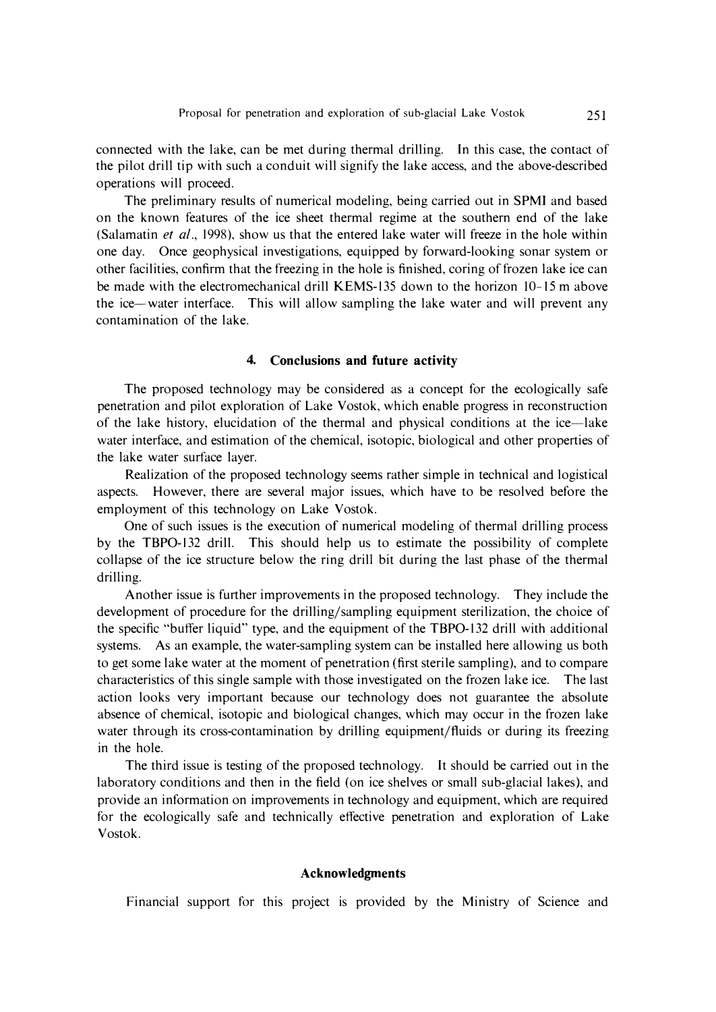**connected with the lake, can be met during thermal drilling. In this case, the contact of the pilot drill tip with such a conduit will signify the lake access, and the above-described operations will proceed.** 

**The preliminary results of numerical modeling, being carried out in SPMI and based on the known features of the ice sheet thermal regime at the southern end of the lake (Salamatin** *et al.,* **1998), show us that the entered lake water will freeze in the hole within one day. Once geophysical investigations, equipped by forward-looking sonar system or other facilities, confirm that the freezing in the hole is finished, coring of frozen lake ice can**  be made with the electromechanical drill KEMS-135 down to the horizon 10-15 m above **the ice-water interface. This will allow sampling the lake water and will prevent any contamination of the lake.** 

### **4. Conclusions and future activity**

**The proposed technology may be considered as a concept for the ecologically safe penetration and pilot exploration of Lake Vostok, which enable progress in reconstruction of the lake history, elucidation of the thermal and physical conditions at the ice-lake water interface, and estimation of the chemical, isotopic, biological and other properties of the lake water surface layer.** 

**Realization of the proposed technology seems rather simple in technical and logistical aspects. However, there are several major issues, which have to be resolved before the employment of this technology on Lake Vostok.** 

**One of such issues is the execution of numerical modeling of thermal drilling process by the TBP0-132 drill. This should help us to estimate the possibility of complete collapse of the ice structure below the ring drill bit during the last phase of the thermal drilling.** 

**Another issue is further improvements in the proposed technology. They include the development of procedure for the drilling/sampling equipment sterilization, the choice of the specific "buffer liquid" type, and the equipment of the TBP0-132 drill with additional systems. As an example, the water-sampling system can be installed here allowing us both to get some lake water at the moment of penetration (first sterile sampling), and to compare characteristics of this single sample with those investigated on the frozen lake ice. The last action looks very important because our technology does not guarantee the absolute absence of chemical, isotopic and biological changes, which may occur in the frozen lake water through its cross-contamination by drilling equipment/fluids or during its freezing in the hole.** 

**The third issue is testing of the proposed technology. It should be carried out in the laboratory conditions and then in the field (on ice shelves or small sub-glacial lakes), and provide an information on improvements in technology and equipment, which are required for the ecologically safe and technically effective penetration and exploration of Lake Vostok.** 

### **Acknowledgments**

**Financial support for this project is provided by the Ministry of Science and**